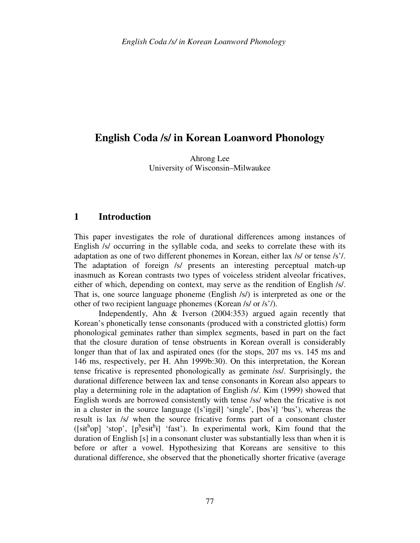# **English Coda /s/ in Korean Loanword Phonology**

Ahrong Lee University of Wisconsin–Milwaukee

# **1 Introduction**

This paper investigates the role of durational differences among instances of English /s/ occurring in the syllable coda, and seeks to correlate these with its adaptation as one of two different phonemes in Korean, either lax /s/ or tense /s'/. The adaptation of foreign /s/ presents an interesting perceptual match-up inasmuch as Korean contrasts two types of voiceless strident alveolar fricatives, either of which, depending on context, may serve as the rendition of English /s/. That is, one source language phoneme (English /s/) is interpreted as one or the other of two recipient language phonemes (Korean /s/ or /s'/).

 Independently, Ahn & Iverson (2004:353) argued again recently that Korean's phonetically tense consonants (produced with a constricted glottis) form phonological geminates rather than simplex segments, based in part on the fact that the closure duration of tense obstruents in Korean overall is considerably longer than that of lax and aspirated ones (for the stops, 207 ms vs. 145 ms and 146 ms, respectively, per H. Ahn 1999b:30). On this interpretation, the Korean tense fricative is represented phonologically as geminate /ss/. Surprisingly, the durational difference between lax and tense consonants in Korean also appears to play a determining role in the adaptation of English /s/. Kim (1999) showed that English words are borrowed consistently with tense /ss/ when the fricative is not in a cluster in the source language ([s'iŋgɨl] 'single', [bəs'ɨ] 'bus'), whereas the result is lax /s/ when the source fricative forms part of a consonant cluster  $([sit<sup>h</sup>op]$  'stop',  $[p<sup>h</sup>esit<sup>h</sup>i]$  'fast'). In experimental work, Kim found that the duration of English [s] in a consonant cluster was substantially less than when it is before or after a vowel. Hypothesizing that Koreans are sensitive to this durational difference, she observed that the phonetically shorter fricative (average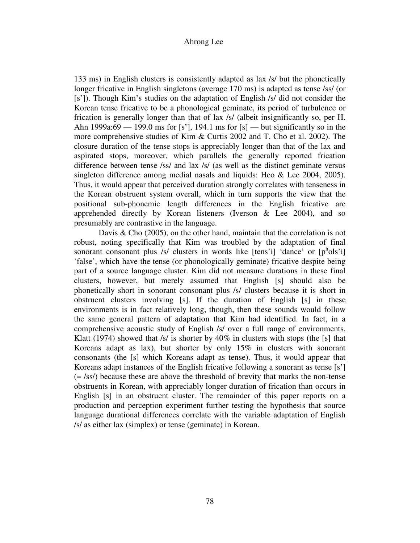133 ms) in English clusters is consistently adapted as lax /s/ but the phonetically longer fricative in English singletons (average 170 ms) is adapted as tense /ss/ (or [s']). Though Kim's studies on the adaptation of English /s/ did not consider the Korean tense fricative to be a phonological geminate, its period of turbulence or frication is generally longer than that of lax /s/ (albeit insignificantly so, per H. Ahn 1999a:69 — 199.0 ms for [s'], 194.1 ms for [s] — but significantly so in the more comprehensive studies of Kim & Curtis 2002 and T. Cho et al. 2002). The closure duration of the tense stops is appreciably longer than that of the lax and aspirated stops, moreover, which parallels the generally reported frication difference between tense /ss/ and lax /s/ (as well as the distinct geminate versus singleton difference among medial nasals and liquids: Heo & Lee 2004, 2005). Thus, it would appear that perceived duration strongly correlates with tenseness in the Korean obstruent system overall, which in turn supports the view that the positional sub-phonemic length differences in the English fricative are apprehended directly by Korean listeners (Iverson & Lee 2004), and so presumably are contrastive in the language.

 Davis & Cho (2005), on the other hand, maintain that the correlation is not robust, noting specifically that Kim was troubled by the adaptation of final sonorant consonant plus /s/ clusters in words like [tens'i] 'dance' or  $[p^h$ ols'i] 'false', which have the tense (or phonologically geminate) fricative despite being part of a source language cluster. Kim did not measure durations in these final clusters, however, but merely assumed that English [s] should also be phonetically short in sonorant consonant plus /s/ clusters because it is short in obstruent clusters involving [s]. If the duration of English [s] in these environments is in fact relatively long, though, then these sounds would follow the same general pattern of adaptation that Kim had identified. In fact, in a comprehensive acoustic study of English /s/ over a full range of environments, Klatt (1974) showed that  $/s/$  is shorter by 40% in clusters with stops (the [s] that Koreans adapt as lax), but shorter by only 15% in clusters with sonorant consonants (the [s] which Koreans adapt as tense). Thus, it would appear that Koreans adapt instances of the English fricative following a sonorant as tense [s'] (= /ss/) because these are above the threshold of brevity that marks the non-tense obstruents in Korean, with appreciably longer duration of frication than occurs in English [s] in an obstruent cluster. The remainder of this paper reports on a production and perception experiment further testing the hypothesis that source language durational differences correlate with the variable adaptation of English /s/ as either lax (simplex) or tense (geminate) in Korean.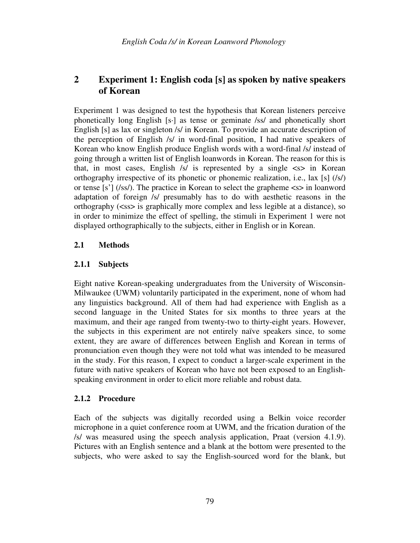# **2 Experiment 1: English coda [s] as spoken by native speakers of Korean**

Experiment 1 was designed to test the hypothesis that Korean listeners perceive phonetically long English [s·] as tense or geminate /ss/ and phonetically short English [s] as lax or singleton /s/ in Korean. To provide an accurate description of the perception of English /s/ in word-final position, I had native speakers of Korean who know English produce English words with a word-final /s/ instead of going through a written list of English loanwords in Korean. The reason for this is that, in most cases, English  $/s/$  is represented by a single  $\langle s \rangle$  in Korean orthography irrespective of its phonetic or phonemic realization, i.e., lax [s] (/s/) or tense [s'] (/ss/). The practice in Korean to select the grapheme  $\langle s \rangle$  in loanword adaptation of foreign /s/ presumably has to do with aesthetic reasons in the orthography (<ss> is graphically more complex and less legible at a distance), so in order to minimize the effect of spelling, the stimuli in Experiment 1 were not displayed orthographically to the subjects, either in English or in Korean.

# **2.1 Methods**

# **2.1.1 Subjects**

Eight native Korean-speaking undergraduates from the University of Wisconsin-Milwaukee (UWM) voluntarily participated in the experiment, none of whom had any linguistics background. All of them had had experience with English as a second language in the United States for six months to three years at the maximum, and their age ranged from twenty-two to thirty-eight years. However, the subjects in this experiment are not entirely naïve speakers since, to some extent, they are aware of differences between English and Korean in terms of pronunciation even though they were not told what was intended to be measured in the study. For this reason, I expect to conduct a larger-scale experiment in the future with native speakers of Korean who have not been exposed to an Englishspeaking environment in order to elicit more reliable and robust data.

## **2.1.2 Procedure**

Each of the subjects was digitally recorded using a Belkin voice recorder microphone in a quiet conference room at UWM, and the frication duration of the /s/ was measured using the speech analysis application, Praat (version 4.1.9). Pictures with an English sentence and a blank at the bottom were presented to the subjects, who were asked to say the English-sourced word for the blank, but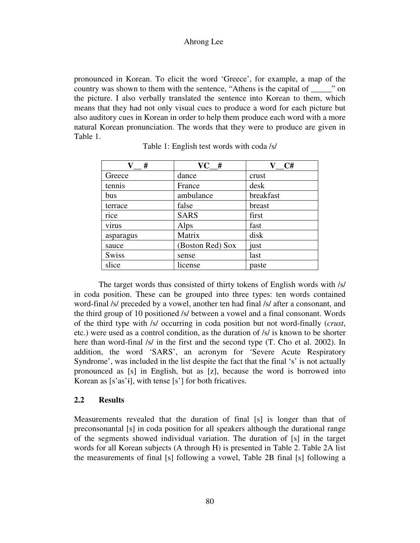pronounced in Korean. To elicit the word 'Greece', for example, a map of the country was shown to them with the sentence, "Athens is the capital of \_\_\_\_\_" on the picture. I also verbally translated the sentence into Korean to them, which means that they had not only visual cues to produce a word for each picture but also auditory cues in Korean in order to help them produce each word with a more natural Korean pronunciation. The words that they were to produce are given in Table 1.

| #<br>V       | $VC$ #           | C#        |
|--------------|------------------|-----------|
| Greece       | dance            | crust     |
| tennis       | France           | desk      |
| bus          | ambulance        | breakfast |
| terrace      | false            | breast    |
| rice         | <b>SARS</b>      | first     |
| virus        | Alps             | fast      |
| asparagus    | Matrix           | disk      |
| sauce        | (Boston Red) Sox | just      |
| <b>Swiss</b> | sense            | last      |
| slice        | license          | paste     |

| Table 1: English test words with coda /s/ |  |
|-------------------------------------------|--|
|-------------------------------------------|--|

 The target words thus consisted of thirty tokens of English words with /s/ in coda position. These can be grouped into three types: ten words contained word-final /s/ preceded by a vowel, another ten had final /s/ after a consonant, and the third group of 10 positioned /s/ between a vowel and a final consonant. Words of the third type with /s/ occurring in coda position but not word-finally (*crust*, etc.) were used as a control condition, as the duration of /s/ is known to be shorter here than word-final /s/ in the first and the second type (T. Cho et al. 2002). In addition, the word 'SARS', an acronym for 'Severe Acute Respiratory Syndrome', was included in the list despite the fact that the final 's' is not actually pronounced as [s] in English, but as [z], because the word is borrowed into Korean as [s'as'ɨ], with tense [s'] for both fricatives.

## **2.2 Results**

Measurements revealed that the duration of final [s] is longer than that of preconsonantal [s] in coda position for all speakers although the durational range of the segments showed individual variation. The duration of [s] in the target words for all Korean subjects (A through H) is presented in Table 2. Table 2A list the measurements of final [s] following a vowel, Table 2B final [s] following a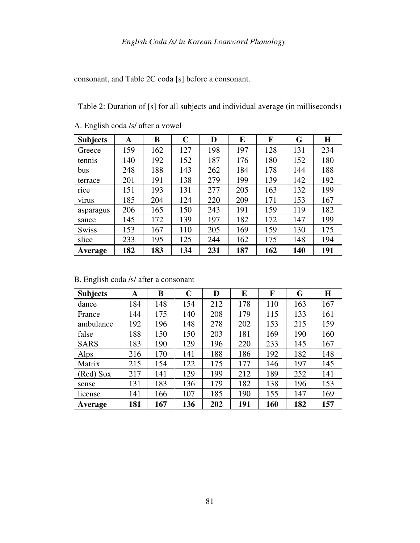consonant, and Table 2C coda [s] before a consonant.

Table 2: Duration of [s] for all subjects and individual average (in milliseconds)

| <b>Subjects</b> | A   | B   | C   | D   | E   | F   | G   | $\bf H$ |
|-----------------|-----|-----|-----|-----|-----|-----|-----|---------|
| Greece          | 159 | 162 | 127 | 198 | 197 | 128 | 131 | 234     |
| tennis          | 140 | 192 | 152 | 187 | 176 | 180 | 152 | 180     |
| bus             | 248 | 188 | 143 | 262 | 184 | 178 | 144 | 188     |
| terrace         | 201 | 191 | 138 | 279 | 199 | 139 | 142 | 192     |
| rice            | 151 | 193 | 131 | 277 | 205 | 163 | 132 | 199     |
| virus           | 185 | 204 | 124 | 220 | 209 | 171 | 153 | 167     |
| asparagus       | 206 | 165 | 150 | 243 | 191 | 159 | 119 | 182     |
| sauce           | 145 | 172 | 139 | 197 | 182 | 172 | 147 | 199     |
| <b>Swiss</b>    | 153 | 167 | 110 | 205 | 169 | 159 | 130 | 175     |
| slice           | 233 | 195 | 125 | 244 | 162 | 175 | 148 | 194     |
| Average         | 182 | 183 | 134 | 231 | 187 | 162 | 140 | 191     |

A. English coda /s/ after a vowel

|  |  | B. English coda /s/ after a consonant |
|--|--|---------------------------------------|
|--|--|---------------------------------------|

| <b>Subjects</b> | A   | B   | $\mathbf C$ | D   | E   | F   | G   | H   |
|-----------------|-----|-----|-------------|-----|-----|-----|-----|-----|
| dance           | 184 | 148 | 154         | 212 | 178 | 110 | 163 | 167 |
| France          | 144 | 175 | 140         | 208 | 179 | 115 | 133 | 161 |
| ambulance       | 192 | 196 | 148         | 278 | 202 | 153 | 215 | 159 |
| false           | 188 | 150 | 150         | 203 | 181 | 169 | 190 | 160 |
| <b>SARS</b>     | 183 | 190 | 129         | 196 | 220 | 233 | 145 | 167 |
| Alps            | 216 | 170 | 141         | 188 | 186 | 192 | 182 | 148 |
| Matrix          | 215 | 154 | 122         | 175 | 177 | 146 | 197 | 145 |
| (Red) Sox       | 217 | 141 | 129         | 199 | 212 | 189 | 252 | 141 |
| sense           | 131 | 183 | 136         | 179 | 182 | 138 | 196 | 153 |
| license         | 141 | 166 | 107         | 185 | 190 | 155 | 147 | 169 |
| Average         | 181 | 167 | 136         | 202 | 191 | 160 | 182 | 157 |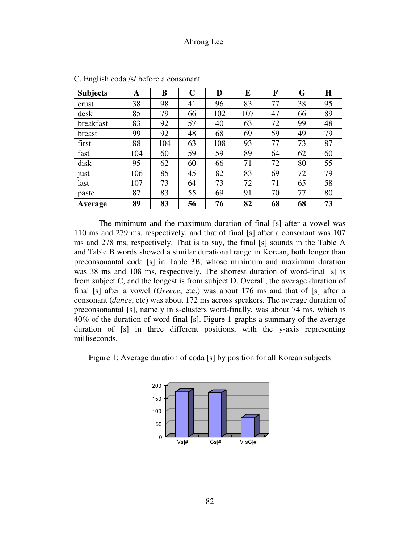| <b>Subjects</b> | A   | B   | $\mathbf C$ | D   | E   | F  | G  | H  |
|-----------------|-----|-----|-------------|-----|-----|----|----|----|
| crust           | 38  | 98  | 41          | 96  | 83  | 77 | 38 | 95 |
| desk            | 85  | 79  | 66          | 102 | 107 | 47 | 66 | 89 |
| breakfast       | 83  | 92  | 57          | 40  | 63  | 72 | 99 | 48 |
| breast          | 99  | 92  | 48          | 68  | 69  | 59 | 49 | 79 |
| first           | 88  | 104 | 63          | 108 | 93  | 77 | 73 | 87 |
| fast            | 104 | 60  | 59          | 59  | 89  | 64 | 62 | 60 |
| disk            | 95  | 62  | 60          | 66  | 71  | 72 | 80 | 55 |
| just            | 106 | 85  | 45          | 82  | 83  | 69 | 72 | 79 |
| last            | 107 | 73  | 64          | 73  | 72  | 71 | 65 | 58 |
| paste           | 87  | 83  | 55          | 69  | 91  | 70 | 77 | 80 |
| Average         | 89  | 83  | 56          | 76  | 82  | 68 | 68 | 73 |

C. English coda /s/ before a consonant

 The minimum and the maximum duration of final [s] after a vowel was 110 ms and 279 ms, respectively, and that of final [s] after a consonant was 107 ms and 278 ms, respectively. That is to say, the final [s] sounds in the Table A and Table B words showed a similar durational range in Korean, both longer than preconsonantal coda [s] in Table 3B, whose minimum and maximum duration was 38 ms and 108 ms, respectively. The shortest duration of word-final [s] is from subject C, and the longest is from subject D. Overall, the average duration of final [s] after a vowel (*Greece*, etc.) was about 176 ms and that of [s] after a consonant (*dance*, etc) was about 172 ms across speakers. The average duration of preconsonantal [s], namely in s-clusters word-finally, was about 74 ms, which is 40% of the duration of word-final [s]. Figure 1 graphs a summary of the average duration of [s] in three different positions, with the y-axis representing milliseconds.



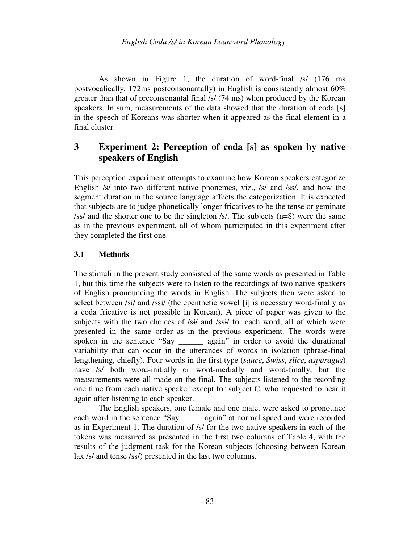As shown in Figure 1, the duration of word-final /s/ (176 ms postvocalically, 172ms postconsonantally) in English is consistently almost 60% greater than that of preconsonantal final /s/ (74 ms) when produced by the Korean speakers. In sum, measurements of the data showed that the duration of coda [s] in the speech of Koreans was shorter when it appeared as the final element in a final cluster.

# **3 Experiment 2: Perception of coda [s] as spoken by native speakers of English**

This perception experiment attempts to examine how Korean speakers categorize English /s/ into two different native phonemes, viz., /s/ and /ss/, and how the segment duration in the source language affects the categorization. It is expected that subjects are to judge phonetically longer fricatives to be the tense or geminate /ss/ and the shorter one to be the singleton /s/. The subjects (n=8) were the same as in the previous experiment, all of whom participated in this experiment after they completed the first one.

### **3.1 Methods**

The stimuli in the present study consisted of the same words as presented in Table 1, but this time the subjects were to listen to the recordings of two native speakers of English pronouncing the words in English. The subjects then were asked to select between /sɨ/ and /ssɨ/ (the epenthetic vowel [ɨ] is necessary word-finally as a coda fricative is not possible in Korean). A piece of paper was given to the subjects with the two choices of /si/ and /ssi/ for each word, all of which were presented in the same order as in the previous experiment. The words were spoken in the sentence "Say \_\_\_\_\_\_ again" in order to avoid the durational variability that can occur in the utterances of words in isolation (phrase-final lengthening, chiefly). Four words in the first type (*sauce*, *Swiss*, *slice*, *asparagus*) have /s/ both word-initially or word-medially and word-finally, but the measurements were all made on the final. The subjects listened to the recording one time from each native speaker except for subject C, who requested to hear it again after listening to each speaker.

 The English speakers, one female and one male, were asked to pronounce each word in the sentence "Say \_\_\_\_\_ again" at normal speed and were recorded as in Experiment 1. The duration of /s/ for the two native speakers in each of the tokens was measured as presented in the first two columns of Table 4, with the results of the judgment task for the Korean subjects (choosing between Korean lax /s/ and tense /ss/) presented in the last two columns.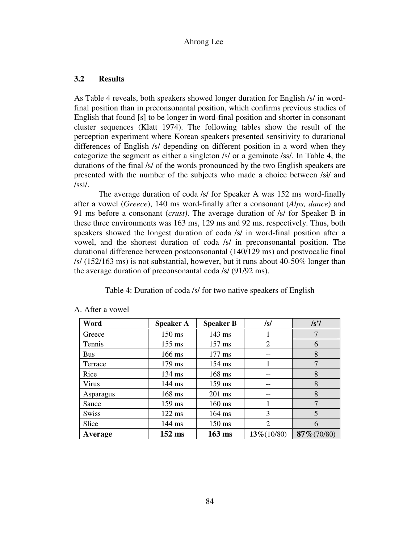## **3.2 Results**

As Table 4 reveals, both speakers showed longer duration for English /s/ in wordfinal position than in preconsonantal position, which confirms previous studies of English that found [s] to be longer in word-final position and shorter in consonant cluster sequences (Klatt 1974). The following tables show the result of the perception experiment where Korean speakers presented sensitivity to durational differences of English /s/ depending on different position in a word when they categorize the segment as either a singleton /s/ or a geminate /ss/. In Table 4, the durations of the final /s/ of the words pronounced by the two English speakers are presented with the number of the subjects who made a choice between /sɨ/ and  $\sqrt{\text{ssi}}$ .

 The average duration of coda /s/ for Speaker A was 152 ms word-finally after a vowel (*Greece*), 140 ms word-finally after a consonant (*Alps, dance*) and 91 ms before a consonant (*crust)*. The average duration of /s/ for Speaker B in these three environments was 163 ms, 129 ms and 92 ms, respectively. Thus, both speakers showed the longest duration of coda /s/ in word-final position after a vowel, and the shortest duration of coda /s/ in preconsonantal position. The durational difference between postconsonantal (140/129 ms) and postvocalic final /s/ (152/163 ms) is not substantial, however, but it runs about 40-50% longer than the average duration of preconsonantal coda /s/ (91/92 ms).

Table 4: Duration of coda /s/ for two native speakers of English

| Word         | <b>Speaker A</b> | <b>Speaker B</b> | /s/          | $\sqrt{s'}$    |
|--------------|------------------|------------------|--------------|----------------|
| Greece       | $150$ ms         | 143 ms           |              |                |
| Tennis       | $155$ ms         | $157$ ms         | 2            | 6              |
| <b>Bus</b>   | 166 ms           | 177 ms           |              | 8              |
| Terrace      | 179 ms           | $154 \text{ ms}$ |              | 7              |
| Rice         | $134 \text{ ms}$ | 168 ms           |              | 8              |
| Virus        | $144 \text{ ms}$ | 159 ms           |              | 8              |
| Asparagus    | 168 ms           | $201$ ms         | --           | 8              |
| Sauce        | $159$ ms         | $160 \text{ ms}$ |              | $\overline{7}$ |
| <b>Swiss</b> | $122$ ms         | $164 \text{ ms}$ | 3            | 5              |
| Slice        | $144 \text{ ms}$ | 150 ms           | 2            | 6              |
| Average      | $152$ ms         | $163$ ms         | $13\%/10/80$ | $87\% (70/80)$ |

A. After a vowel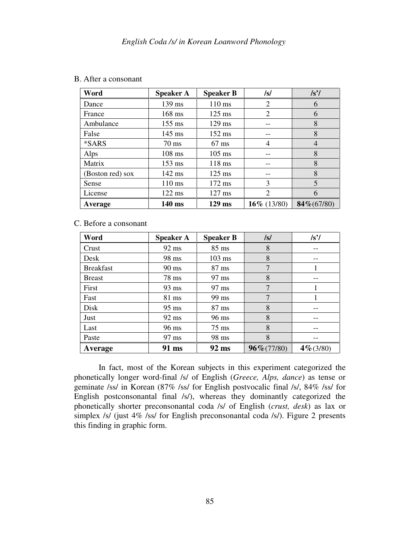|  | B. After a consonant |
|--|----------------------|
|--|----------------------|

| Word             | <b>Speaker A</b> | <b>Speaker B</b> | /s/            | /s'            |
|------------------|------------------|------------------|----------------|----------------|
| Dance            | 139 ms           | $110$ ms         | 2              | 6              |
| France           | $168$ ms         | $125$ ms         | 2              | 6              |
| Ambulance        | $155 \text{ ms}$ | $129$ ms         |                | 8              |
| False            | $145 \text{ ms}$ | 152 ms           |                | 8              |
| *SARS            | $70 \text{ ms}$  | $67$ ms          | 4              | 4              |
| Alps             | $108$ ms         | $105$ ms         |                | 8              |
| Matrix           | $153 \text{ ms}$ | 118 ms           |                | 8              |
| (Boston red) sox | 142 ms           | $125$ ms         |                | 8              |
| Sense            | $110 \text{ ms}$ | 172 ms           | 3              | 5              |
| License          | $122$ ms         | $127$ ms         | 2              | 6              |
| Average          | 140 ms           | $129$ ms         | 16\% $(13/80)$ | $84\% (67/80)$ |

## C. Before a consonant

| Word             | <b>Speaker A</b> | <b>Speaker B</b> | /s/            | /s'          |
|------------------|------------------|------------------|----------------|--------------|
| Crust            | 92 ms            | 85 ms            | 8              |              |
| Desk             | 98 ms            | $103$ ms         | 8              |              |
| <b>Breakfast</b> | $90 \text{ ms}$  | $87 \text{ ms}$  | 7              |              |
| <b>Breast</b>    | 78 ms            | 97 ms            | 8              |              |
| First            | 93 ms            | 97 ms            | 7              |              |
| Fast             | 81 ms            | 99 ms            | 7              |              |
| Disk             | $95 \text{ ms}$  | $87 \text{ ms}$  | 8              |              |
| Just             | $92 \text{ ms}$  | 96 ms            | 8              |              |
| Last             | 96 ms            | $75 \text{ ms}$  | 8              |              |
| Paste            | 97 ms            | 98 ms            | 8              |              |
| Average          | 91 ms            | 92 ms            | $96\% (77/80)$ | $4\% (3/80)$ |

 In fact, most of the Korean subjects in this experiment categorized the phonetically longer word-final /s/ of English (*Greece, Alps, dance*) as tense or geminate /ss/ in Korean (87% /ss/ for English postvocalic final /s/, 84% /ss/ for English postconsonantal final /s/), whereas they dominantly categorized the phonetically shorter preconsonantal coda /s/ of English (*crust, desk*) as lax or simplex /s/ (just 4% /ss/ for English preconsonantal coda /s/). Figure 2 presents this finding in graphic form.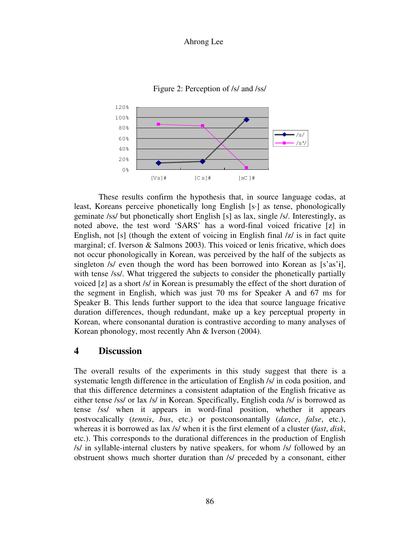

Figure 2: Perception of /s/ and /ss/

 These results confirm the hypothesis that, in source language codas, at least, Koreans perceive phonetically long English [s·] as tense, phonologically geminate /ss/ but phonetically short English [s] as lax, single /s/. Interestingly, as noted above, the test word 'SARS' has a word-final voiced fricative [z] in English, not [s] (though the extent of voicing in English final /z/ is in fact quite marginal; cf. Iverson & Salmons 2003). This voiced or lenis fricative, which does not occur phonologically in Korean, was perceived by the half of the subjects as singleton /s/ even though the word has been borrowed into Korean as [s'as'i], with tense */ss/*. What triggered the subjects to consider the phonetically partially voiced [z] as a short /s/ in Korean is presumably the effect of the short duration of the segment in English, which was just 70 ms for Speaker A and 67 ms for Speaker B. This lends further support to the idea that source language fricative duration differences, though redundant, make up a key perceptual property in Korean, where consonantal duration is contrastive according to many analyses of Korean phonology, most recently Ahn & Iverson (2004).

# **4 Discussion**

The overall results of the experiments in this study suggest that there is a systematic length difference in the articulation of English /s/ in coda position, and that this difference determines a consistent adaptation of the English fricative as either tense /ss/ or lax /s/ in Korean. Specifically, English coda /s/ is borrowed as tense /ss/ when it appears in word-final position, whether it appears postvocalically (*tennis*, *bus*, etc.) or postconsonantally (*dance*, *false*, etc.), whereas it is borrowed as lax /s/ when it is the first element of a cluster (*fast*, *disk*, etc.). This corresponds to the durational differences in the production of English /s/ in syllable-internal clusters by native speakers, for whom /s/ followed by an obstruent shows much shorter duration than /s/ preceded by a consonant, either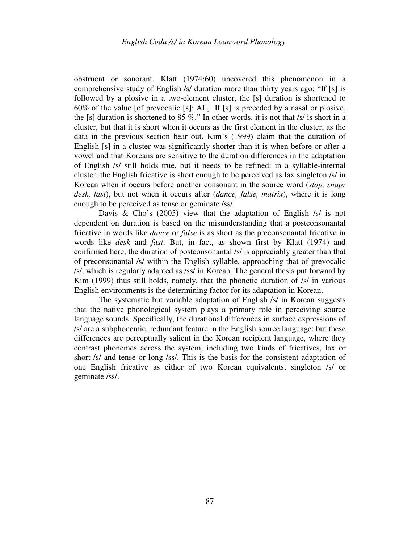obstruent or sonorant. Klatt (1974:60) uncovered this phenomenon in a comprehensive study of English /s/ duration more than thirty years ago: "If [s] is followed by a plosive in a two-element cluster, the [s] duration is shortened to 60% of the value [of prevocalic [s]: AL]. If [s] is preceded by a nasal or plosive, the [s] duration is shortened to 85 %." In other words, it is not that  $/s/$  is short in a cluster, but that it is short when it occurs as the first element in the cluster, as the data in the previous section bear out. Kim's (1999) claim that the duration of English [s] in a cluster was significantly shorter than it is when before or after a vowel and that Koreans are sensitive to the duration differences in the adaptation of English /s/ still holds true, but it needs to be refined: in a syllable-internal cluster, the English fricative is short enough to be perceived as lax singleton /s/ in Korean when it occurs before another consonant in the source word (*stop, snap; desk, fast*), but not when it occurs after (*dance, false, matrix*), where it is long enough to be perceived as tense or geminate /ss/.

Davis & Cho's (2005) view that the adaptation of English /s/ is not dependent on duration is based on the misunderstanding that a postconsonantal fricative in words like *dance* or *false* is as short as the preconsonantal fricative in words like *desk* and *fast*. But, in fact, as shown first by Klatt (1974) and confirmed here, the duration of postconsonantal /s/ is appreciably greater than that of preconsonantal /s/ within the English syllable, approaching that of prevocalic /s/, which is regularly adapted as /ss/ in Korean. The general thesis put forward by Kim (1999) thus still holds, namely, that the phonetic duration of /s/ in various English environments is the determining factor for its adaptation in Korean.

 The systematic but variable adaptation of English /s/ in Korean suggests that the native phonological system plays a primary role in perceiving source language sounds. Specifically, the durational differences in surface expressions of /s/ are a subphonemic, redundant feature in the English source language; but these differences are perceptually salient in the Korean recipient language, where they contrast phonemes across the system, including two kinds of fricatives, lax or short /s/ and tense or long /ss/. This is the basis for the consistent adaptation of one English fricative as either of two Korean equivalents, singleton /s/ or geminate /ss/.